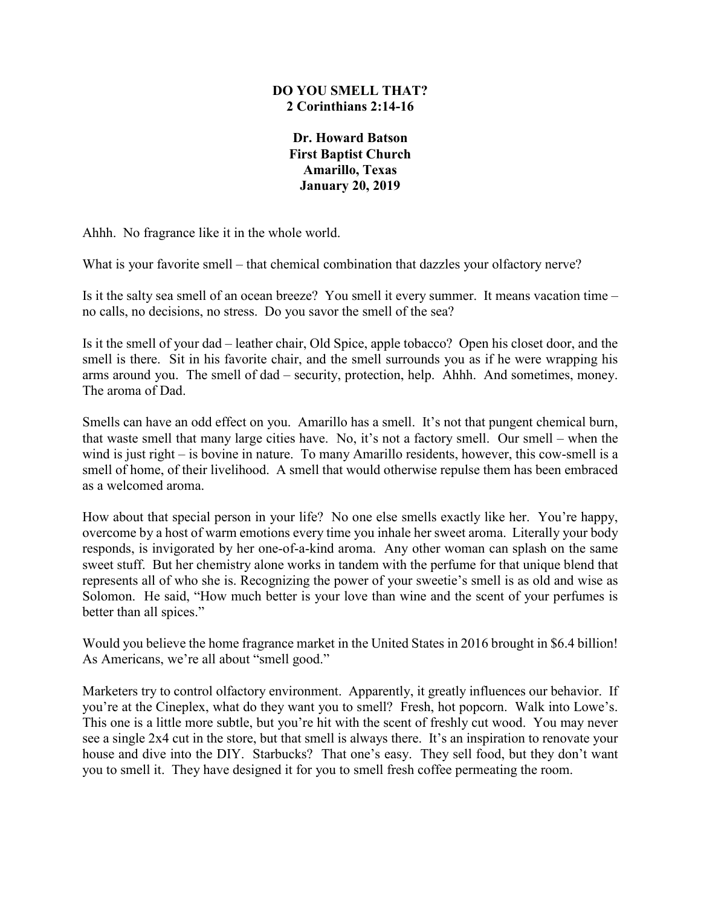## **DO YOU SMELL THAT? 2 Corinthians 2:14-16**

**Dr. Howard Batson First Baptist Church Amarillo, Texas January 20, 2019**

Ahhh. No fragrance like it in the whole world.

What is your favorite smell – that chemical combination that dazzles your olfactory nerve?

Is it the salty sea smell of an ocean breeze? You smell it every summer. It means vacation time – no calls, no decisions, no stress. Do you savor the smell of the sea?

Is it the smell of your dad – leather chair, Old Spice, apple tobacco? Open his closet door, and the smell is there. Sit in his favorite chair, and the smell surrounds you as if he were wrapping his arms around you. The smell of dad – security, protection, help. Ahhh. And sometimes, money. The aroma of Dad.

Smells can have an odd effect on you. Amarillo has a smell. It's not that pungent chemical burn, that waste smell that many large cities have. No, it's not a factory smell. Our smell – when the wind is just right – is bovine in nature. To many Amarillo residents, however, this cow-smell is a smell of home, of their livelihood. A smell that would otherwise repulse them has been embraced as a welcomed aroma.

How about that special person in your life? No one else smells exactly like her. You're happy, overcome by a host of warm emotions every time you inhale her sweet aroma. Literally your body responds, is invigorated by her one-of-a-kind aroma. Any other woman can splash on the same sweet stuff. But her chemistry alone works in tandem with the perfume for that unique blend that represents all of who she is. Recognizing the power of your sweetie's smell is as old and wise as Solomon. He said, "How much better is your love than wine and the scent of your perfumes is better than all spices."

Would you believe the home fragrance market in the United States in 2016 brought in \$6.4 billion! As Americans, we're all about "smell good."

Marketers try to control olfactory environment. Apparently, it greatly influences our behavior. If you're at the Cineplex, what do they want you to smell? Fresh, hot popcorn. Walk into Lowe's. This one is a little more subtle, but you're hit with the scent of freshly cut wood. You may never see a single 2x4 cut in the store, but that smell is always there. It's an inspiration to renovate your house and dive into the DIY. Starbucks? That one's easy. They sell food, but they don't want you to smell it. They have designed it for you to smell fresh coffee permeating the room.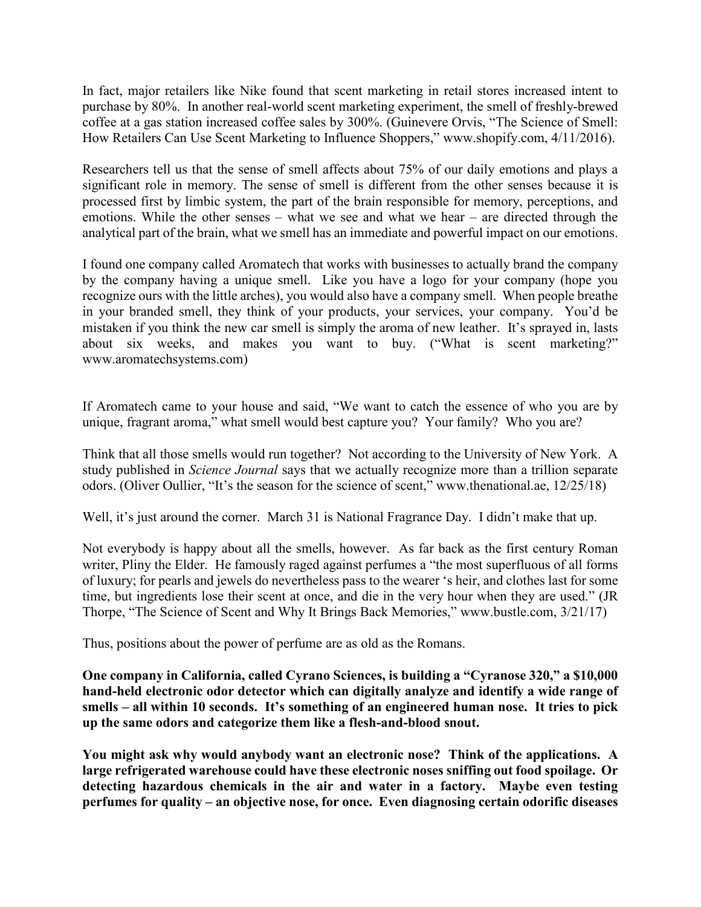In fact, major retailers like Nike found that scent marketing in retail stores increased intent to purchase by 80%. In another real-world scent marketing experiment, the smell of freshly-brewed coffee at a gas station increased coffee sales by 300%. (Guinevere Orvis, "The Science of Smell: How Retailers Can Use Scent Marketing to Influence Shoppers," www.shopify.com, 4/11/2016).

Researchers tell us that the sense of smell affects about 75% of our daily emotions and plays a significant role in memory. The sense of smell is different from the other senses because it is processed first by limbic system, the part of the brain responsible for memory, perceptions, and emotions. While the other senses – what we see and what we hear – are directed through the analytical part of the brain, what we smell has an immediate and powerful impact on our emotions.

I found one company called Aromatech that works with businesses to actually brand the company by the company having a unique smell. Like you have a logo for your company (hope you recognize ours with the little arches), you would also have a company smell. When people breathe in your branded smell, they think of your products, your services, your company. You'd be mistaken if you think the new car smell is simply the aroma of new leather. It's sprayed in, lasts about six weeks, and makes you want to buy. ("What is scent marketing?" www.aromatechsystems.com)

If Aromatech came to your house and said, "We want to catch the essence of who you are by unique, fragrant aroma," what smell would best capture you? Your family? Who you are?

Think that all those smells would run together? Not according to the University of New York. A study published in *Science Journal* says that we actually recognize more than a trillion separate odors. (Oliver Oullier, "It's the season for the science of scent," www.thenational.ae, 12/25/18)

Well, it's just around the corner. March 31 is National Fragrance Day. I didn't make that up.

Not everybody is happy about all the smells, however. As far back as the first century Roman writer, Pliny the Elder. He famously raged against perfumes a "the most superfluous of all forms of luxury; for pearls and jewels do nevertheless pass to the wearer 's heir, and clothes last for some time, but ingredients lose their scent at once, and die in the very hour when they are used." (JR Thorpe, "The Science of Scent and Why It Brings Back Memories," www.bustle.com, 3/21/17)

Thus, positions about the power of perfume are as old as the Romans.

**One company in California, called Cyrano Sciences, is building a "Cyranose 320," a \$10,000 hand-held electronic odor detector which can digitally analyze and identify a wide range of smells – all within 10 seconds. It's something of an engineered human nose. It tries to pick up the same odors and categorize them like a flesh-and-blood snout.** 

**You might ask why would anybody want an electronic nose? Think of the applications. A large refrigerated warehouse could have these electronic noses sniffing out food spoilage. Or detecting hazardous chemicals in the air and water in a factory. Maybe even testing perfumes for quality – an objective nose, for once. Even diagnosing certain odorific diseases**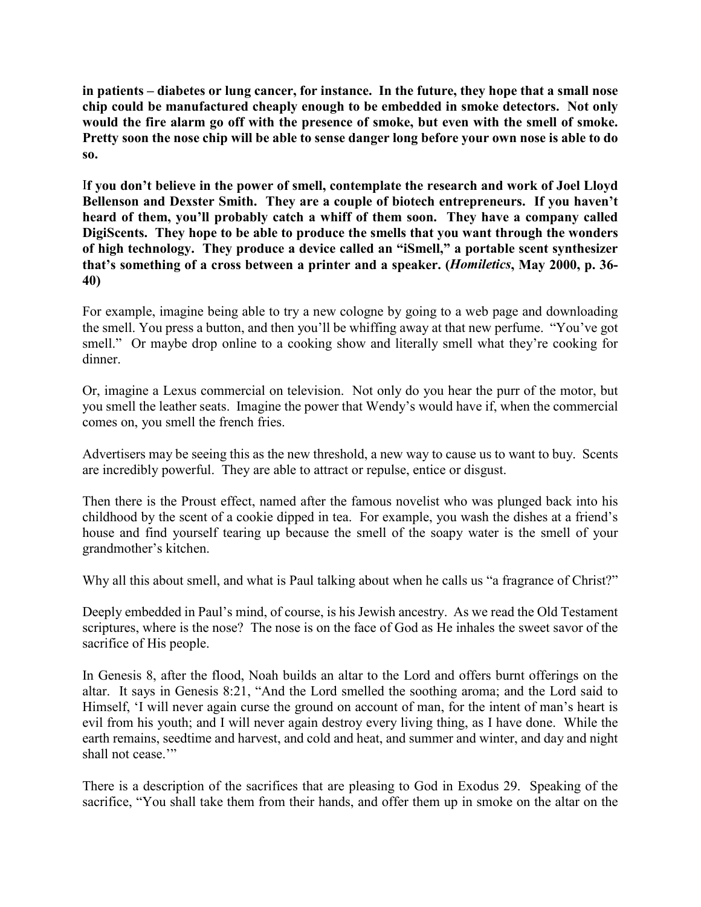**in patients – diabetes or lung cancer, for instance. In the future, they hope that a small nose chip could be manufactured cheaply enough to be embedded in smoke detectors. Not only would the fire alarm go off with the presence of smoke, but even with the smell of smoke. Pretty soon the nose chip will be able to sense danger long before your own nose is able to do so.**

I**f you don't believe in the power of smell, contemplate the research and work of Joel Lloyd Bellenson and Dexster Smith. They are a couple of biotech entrepreneurs. If you haven't heard of them, you'll probably catch a whiff of them soon. They have a company called DigiScents. They hope to be able to produce the smells that you want through the wonders of high technology. They produce a device called an "iSmell," a portable scent synthesizer that's something of a cross between a printer and a speaker. (***Homiletics***, May 2000, p. 36- 40)** 

For example, imagine being able to try a new cologne by going to a web page and downloading the smell. You press a button, and then you'll be whiffing away at that new perfume. "You've got smell." Or maybe drop online to a cooking show and literally smell what they're cooking for dinner.

Or, imagine a Lexus commercial on television. Not only do you hear the purr of the motor, but you smell the leather seats. Imagine the power that Wendy's would have if, when the commercial comes on, you smell the french fries.

Advertisers may be seeing this as the new threshold, a new way to cause us to want to buy. Scents are incredibly powerful. They are able to attract or repulse, entice or disgust.

Then there is the Proust effect, named after the famous novelist who was plunged back into his childhood by the scent of a cookie dipped in tea. For example, you wash the dishes at a friend's house and find yourself tearing up because the smell of the soapy water is the smell of your grandmother's kitchen.

Why all this about smell, and what is Paul talking about when he calls us "a fragrance of Christ?"

Deeply embedded in Paul's mind, of course, is his Jewish ancestry. As we read the Old Testament scriptures, where is the nose? The nose is on the face of God as He inhales the sweet savor of the sacrifice of His people.

In Genesis 8, after the flood, Noah builds an altar to the Lord and offers burnt offerings on the altar. It says in Genesis 8:21, "And the Lord smelled the soothing aroma; and the Lord said to Himself, 'I will never again curse the ground on account of man, for the intent of man's heart is evil from his youth; and I will never again destroy every living thing, as I have done. While the earth remains, seedtime and harvest, and cold and heat, and summer and winter, and day and night shall not cease."

There is a description of the sacrifices that are pleasing to God in Exodus 29. Speaking of the sacrifice, "You shall take them from their hands, and offer them up in smoke on the altar on the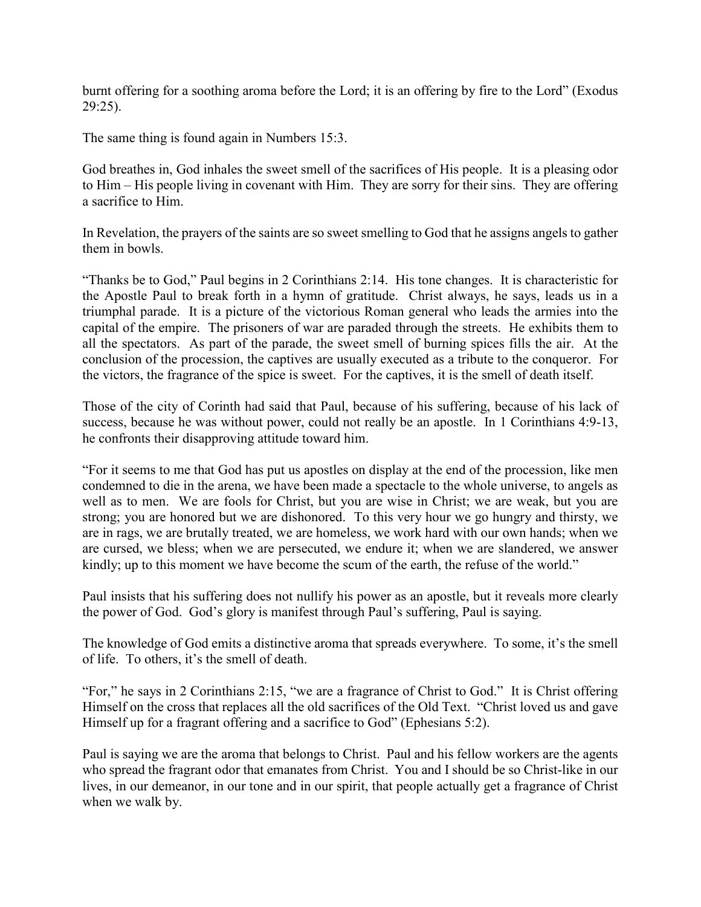burnt offering for a soothing aroma before the Lord; it is an offering by fire to the Lord" (Exodus 29:25).

The same thing is found again in Numbers 15:3.

God breathes in, God inhales the sweet smell of the sacrifices of His people. It is a pleasing odor to Him – His people living in covenant with Him. They are sorry for their sins. They are offering a sacrifice to Him.

In Revelation, the prayers of the saints are so sweet smelling to God that he assigns angels to gather them in bowls.

"Thanks be to God," Paul begins in 2 Corinthians 2:14. His tone changes. It is characteristic for the Apostle Paul to break forth in a hymn of gratitude. Christ always, he says, leads us in a triumphal parade. It is a picture of the victorious Roman general who leads the armies into the capital of the empire. The prisoners of war are paraded through the streets. He exhibits them to all the spectators. As part of the parade, the sweet smell of burning spices fills the air. At the conclusion of the procession, the captives are usually executed as a tribute to the conqueror. For the victors, the fragrance of the spice is sweet. For the captives, it is the smell of death itself.

Those of the city of Corinth had said that Paul, because of his suffering, because of his lack of success, because he was without power, could not really be an apostle. In 1 Corinthians 4:9-13, he confronts their disapproving attitude toward him.

"For it seems to me that God has put us apostles on display at the end of the procession, like men condemned to die in the arena, we have been made a spectacle to the whole universe, to angels as well as to men. We are fools for Christ, but you are wise in Christ; we are weak, but you are strong; you are honored but we are dishonored. To this very hour we go hungry and thirsty, we are in rags, we are brutally treated, we are homeless, we work hard with our own hands; when we are cursed, we bless; when we are persecuted, we endure it; when we are slandered, we answer kindly; up to this moment we have become the scum of the earth, the refuse of the world."

Paul insists that his suffering does not nullify his power as an apostle, but it reveals more clearly the power of God. God's glory is manifest through Paul's suffering, Paul is saying.

The knowledge of God emits a distinctive aroma that spreads everywhere. To some, it's the smell of life. To others, it's the smell of death.

"For," he says in 2 Corinthians 2:15, "we are a fragrance of Christ to God." It is Christ offering Himself on the cross that replaces all the old sacrifices of the Old Text. "Christ loved us and gave Himself up for a fragrant offering and a sacrifice to God" (Ephesians 5:2).

Paul is saying we are the aroma that belongs to Christ. Paul and his fellow workers are the agents who spread the fragrant odor that emanates from Christ. You and I should be so Christ-like in our lives, in our demeanor, in our tone and in our spirit, that people actually get a fragrance of Christ when we walk by.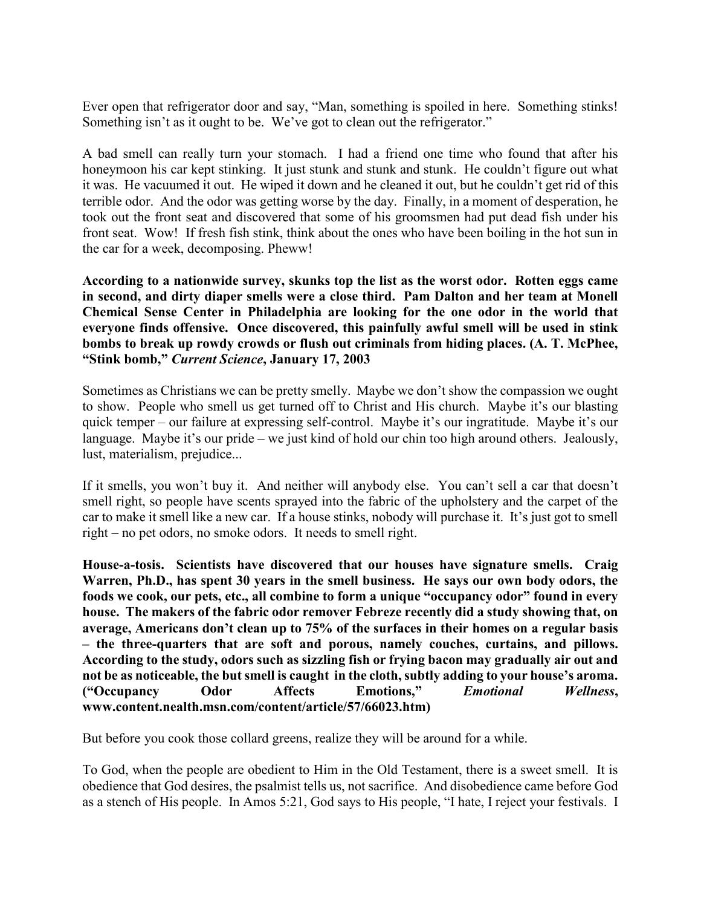Ever open that refrigerator door and say, "Man, something is spoiled in here. Something stinks! Something isn't as it ought to be. We've got to clean out the refrigerator."

A bad smell can really turn your stomach. I had a friend one time who found that after his honeymoon his car kept stinking. It just stunk and stunk and stunk. He couldn't figure out what it was. He vacuumed it out. He wiped it down and he cleaned it out, but he couldn't get rid of this terrible odor. And the odor was getting worse by the day. Finally, in a moment of desperation, he took out the front seat and discovered that some of his groomsmen had put dead fish under his front seat. Wow! If fresh fish stink, think about the ones who have been boiling in the hot sun in the car for a week, decomposing. Pheww!

**According to a nationwide survey, skunks top the list as the worst odor. Rotten eggs came in second, and dirty diaper smells were a close third. Pam Dalton and her team at Monell Chemical Sense Center in Philadelphia are looking for the one odor in the world that everyone finds offensive. Once discovered, this painfully awful smell will be used in stink bombs to break up rowdy crowds or flush out criminals from hiding places. (A. T. McPhee, "Stink bomb,"** *Current Science***, January 17, 2003**

Sometimes as Christians we can be pretty smelly. Maybe we don't show the compassion we ought to show. People who smell us get turned off to Christ and His church. Maybe it's our blasting quick temper – our failure at expressing self-control. Maybe it's our ingratitude. Maybe it's our language. Maybe it's our pride – we just kind of hold our chin too high around others. Jealously, lust, materialism, prejudice...

If it smells, you won't buy it. And neither will anybody else. You can't sell a car that doesn't smell right, so people have scents sprayed into the fabric of the upholstery and the carpet of the car to make it smell like a new car. If a house stinks, nobody will purchase it. It's just got to smell right – no pet odors, no smoke odors. It needs to smell right.

**House-a-tosis. Scientists have discovered that our houses have signature smells. Craig Warren, Ph.D., has spent 30 years in the smell business. He says our own body odors, the foods we cook, our pets, etc., all combine to form a unique "occupancy odor" found in every house. The makers of the fabric odor remover Febreze recently did a study showing that, on average, Americans don't clean up to 75% of the surfaces in their homes on a regular basis – the three-quarters that are soft and porous, namely couches, curtains, and pillows. According to the study, odors such as sizzling fish or frying bacon may gradually air out and not be as noticeable, the but smell is caught in the cloth, subtly adding to your house's aroma. ("Occupancy Odor Affects Emotions,"** *Emotional Wellness***, www.content.nealth.msn.com/content/article/57/66023.htm)**

But before you cook those collard greens, realize they will be around for a while.

To God, when the people are obedient to Him in the Old Testament, there is a sweet smell. It is obedience that God desires, the psalmist tells us, not sacrifice. And disobedience came before God as a stench of His people. In Amos 5:21, God says to His people, "I hate, I reject your festivals. I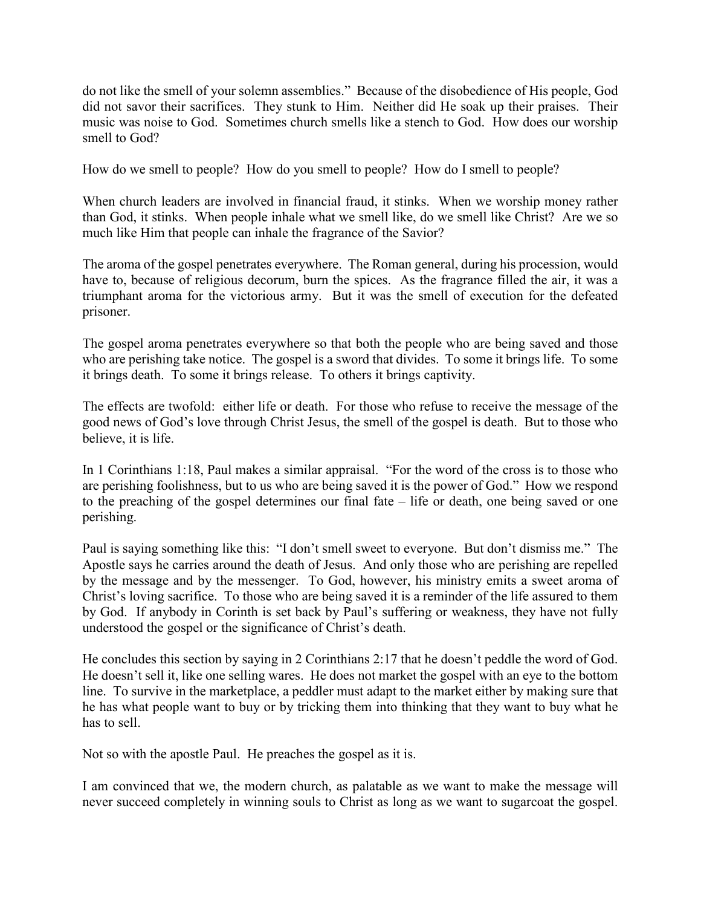do not like the smell of your solemn assemblies." Because of the disobedience of His people, God did not savor their sacrifices. They stunk to Him. Neither did He soak up their praises. Their music was noise to God. Sometimes church smells like a stench to God. How does our worship smell to God?

How do we smell to people? How do you smell to people? How do I smell to people?

When church leaders are involved in financial fraud, it stinks. When we worship money rather than God, it stinks. When people inhale what we smell like, do we smell like Christ? Are we so much like Him that people can inhale the fragrance of the Savior?

The aroma of the gospel penetrates everywhere. The Roman general, during his procession, would have to, because of religious decorum, burn the spices. As the fragrance filled the air, it was a triumphant aroma for the victorious army. But it was the smell of execution for the defeated prisoner.

The gospel aroma penetrates everywhere so that both the people who are being saved and those who are perishing take notice. The gospel is a sword that divides. To some it brings life. To some it brings death. To some it brings release. To others it brings captivity.

The effects are twofold: either life or death. For those who refuse to receive the message of the good news of God's love through Christ Jesus, the smell of the gospel is death. But to those who believe, it is life.

In 1 Corinthians 1:18, Paul makes a similar appraisal. "For the word of the cross is to those who are perishing foolishness, but to us who are being saved it is the power of God." How we respond to the preaching of the gospel determines our final fate – life or death, one being saved or one perishing.

Paul is saying something like this: "I don't smell sweet to everyone. But don't dismiss me." The Apostle says he carries around the death of Jesus. And only those who are perishing are repelled by the message and by the messenger. To God, however, his ministry emits a sweet aroma of Christ's loving sacrifice. To those who are being saved it is a reminder of the life assured to them by God. If anybody in Corinth is set back by Paul's suffering or weakness, they have not fully understood the gospel or the significance of Christ's death.

He concludes this section by saying in 2 Corinthians 2:17 that he doesn't peddle the word of God. He doesn't sell it, like one selling wares. He does not market the gospel with an eye to the bottom line. To survive in the marketplace, a peddler must adapt to the market either by making sure that he has what people want to buy or by tricking them into thinking that they want to buy what he has to sell.

Not so with the apostle Paul. He preaches the gospel as it is.

I am convinced that we, the modern church, as palatable as we want to make the message will never succeed completely in winning souls to Christ as long as we want to sugarcoat the gospel.